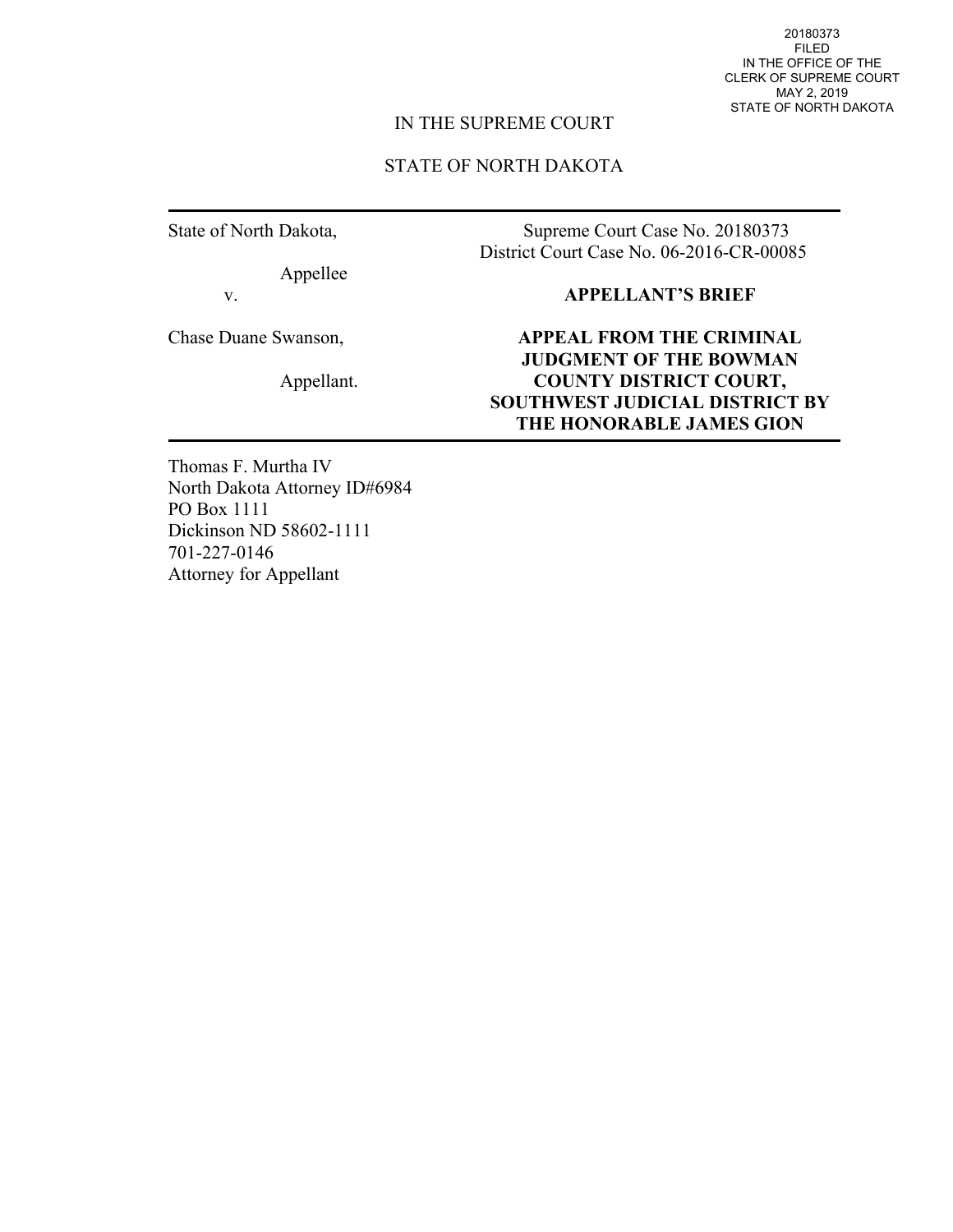20180373 FILED IN THE OFFICE OF THE CLERK OF SUPREME COURT MAY 2, 2019 STATE OF NORTH DAKOTA

## IN THE SUPREME COURT

## STATE OF NORTH DAKOTA

State of North Dakota,

Appellee

v.

Chase Duane Swanson,

Appellant.

Supreme Court Case No. 20180373 District Court Case No. 06-2016-CR-00085

## **APPELLANT'S BRIEF**

**APPEAL FROM THE CRIMINAL JUDGMENT OF THE BOWMAN COUNTY DISTRICT COURT, SOUTHWEST JUDICIAL DISTRICT BY THE HONORABLE JAMES GION** 

Thomas F. Murtha IV North Dakota Attorney ID#6984 PO Box 1111 Dickinson ND 58602-1111 701-227-0146 Attorney for Appellant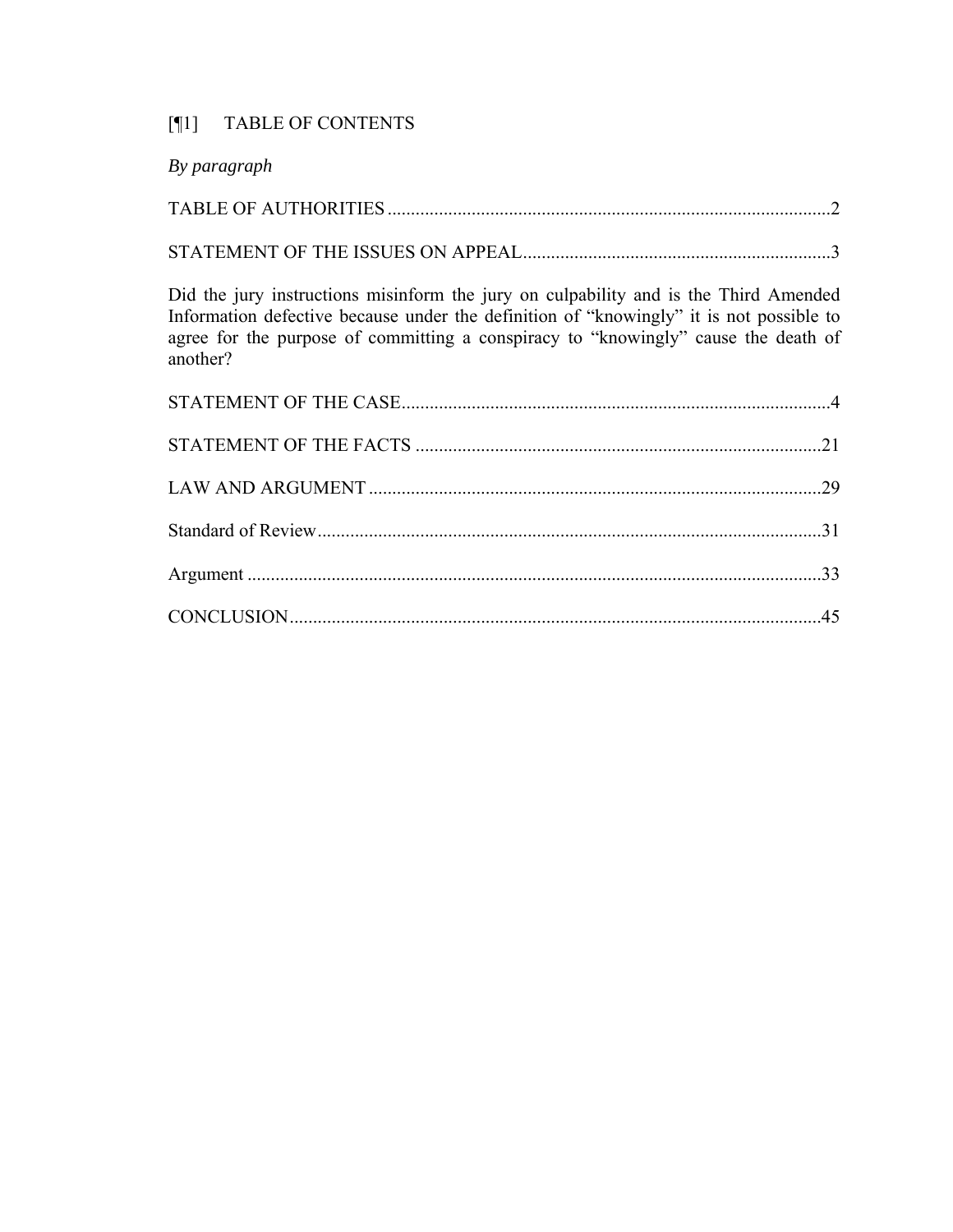# [¶1] TABLE OF CONTENTS

| By paragraph                                                                                                                                                                                                                                                                      |  |
|-----------------------------------------------------------------------------------------------------------------------------------------------------------------------------------------------------------------------------------------------------------------------------------|--|
|                                                                                                                                                                                                                                                                                   |  |
|                                                                                                                                                                                                                                                                                   |  |
| Did the jury instructions misinform the jury on culpability and is the Third Amended<br>Information defective because under the definition of "knowingly" it is not possible to<br>agree for the purpose of committing a conspiracy to "knowingly" cause the death of<br>another? |  |
|                                                                                                                                                                                                                                                                                   |  |
|                                                                                                                                                                                                                                                                                   |  |
|                                                                                                                                                                                                                                                                                   |  |
|                                                                                                                                                                                                                                                                                   |  |
|                                                                                                                                                                                                                                                                                   |  |
|                                                                                                                                                                                                                                                                                   |  |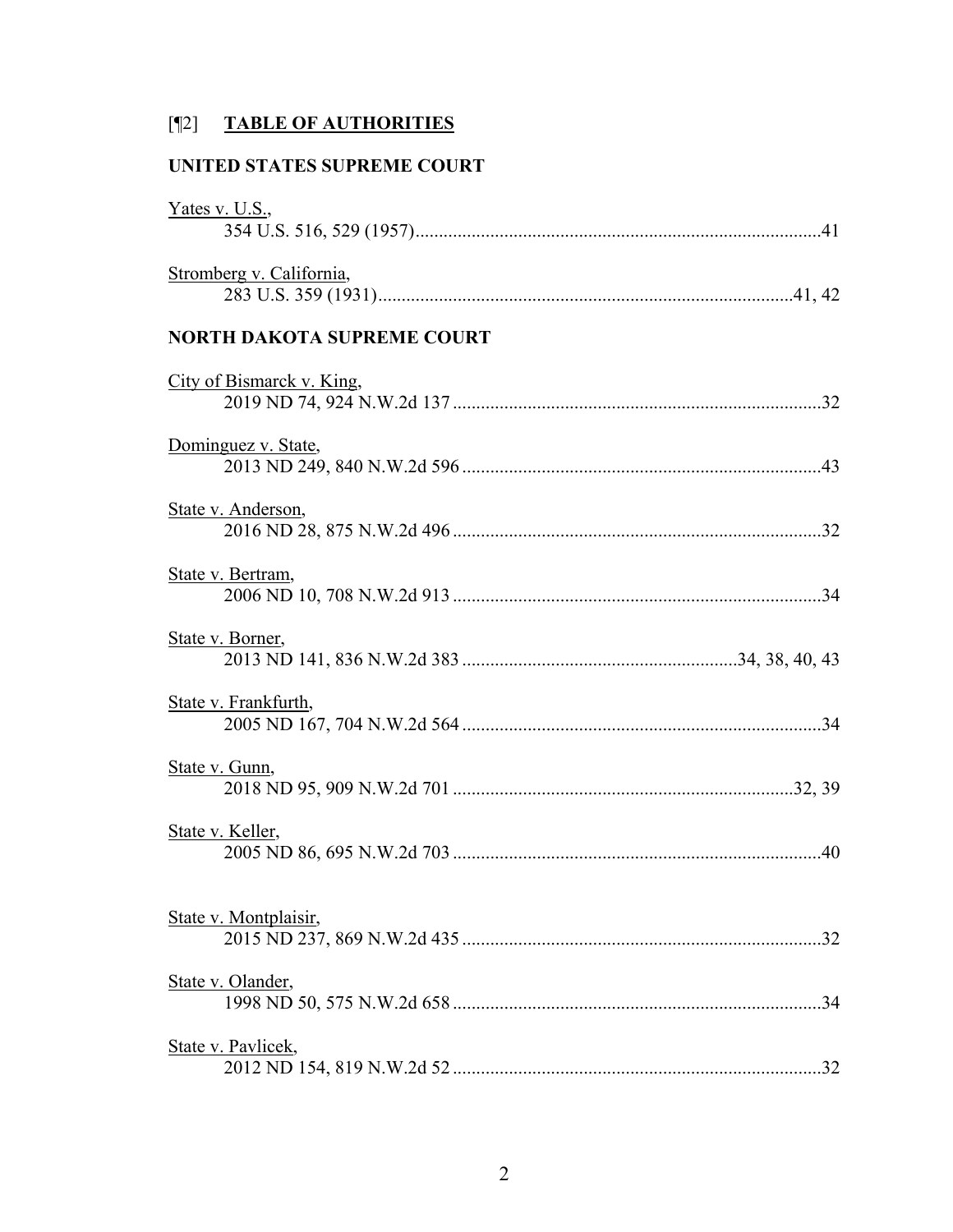# [¶2] **TABLE OF AUTHORITIES**

## **UNITED STATES SUPREME COURT**

| Yates v. U.S.,                    |
|-----------------------------------|
| Stromberg v. California,          |
| <b>NORTH DAKOTA SUPREME COURT</b> |
| City of Bismarck v. King,         |
| Dominguez v. State,               |
| State v. Anderson,                |
| State v. Bertram,                 |
| State v. Borner,                  |
| State v. Frankfurth,              |
| State v. Gunn,                    |
| State v. Keller,                  |
| State v. Montplaisir,             |
| State v. Olander,                 |
| State v. Pavlicek,                |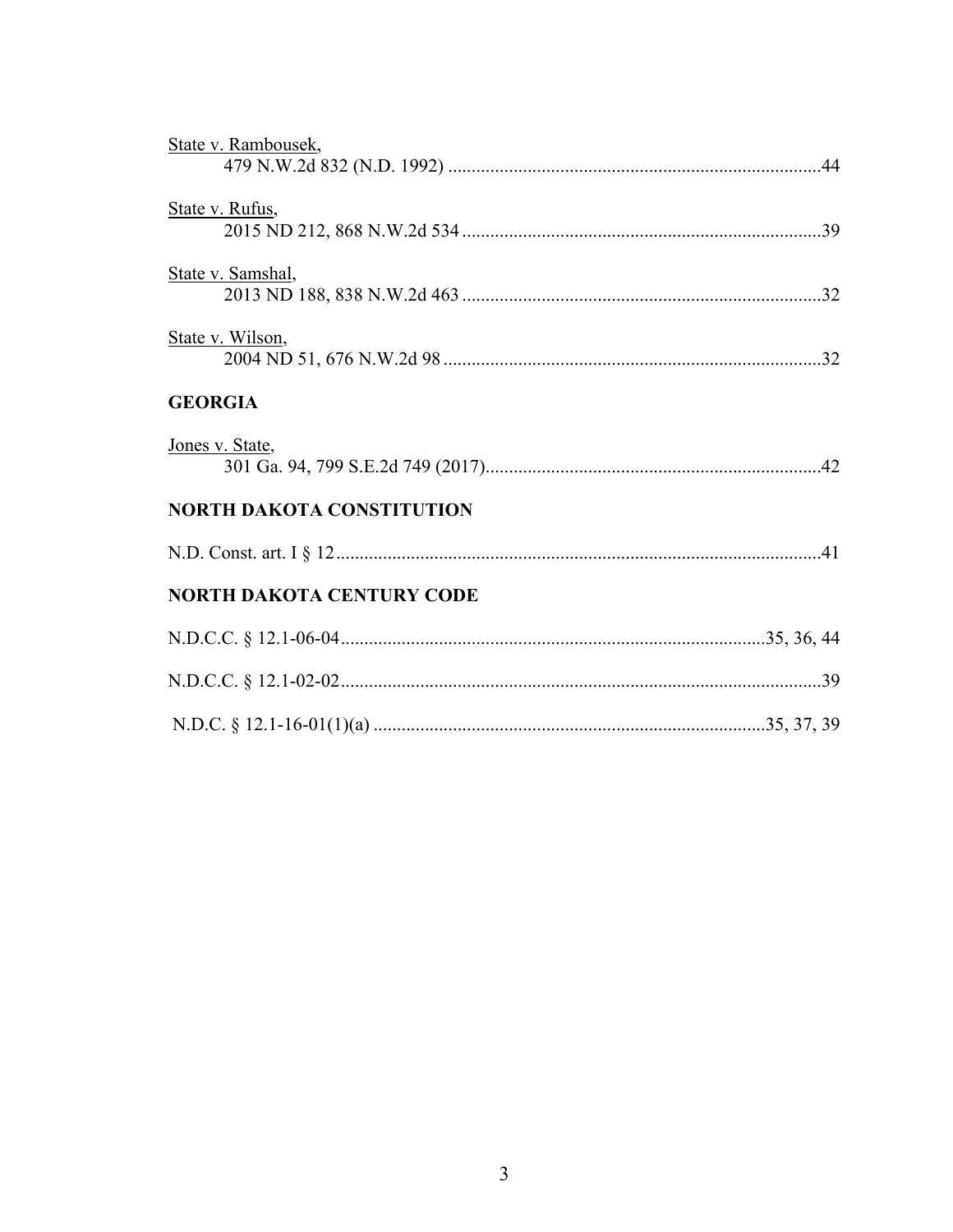| State v. Rambousek,              |
|----------------------------------|
| State v. Rufus,                  |
| State v. Samshal,                |
| State v. Wilson,                 |
| <b>GEORGIA</b>                   |
| Jones v. State,                  |
| <b>NORTH DAKOTA CONSTITUTION</b> |
|                                  |
| <b>NORTH DAKOTA CENTURY CODE</b> |
|                                  |
|                                  |
|                                  |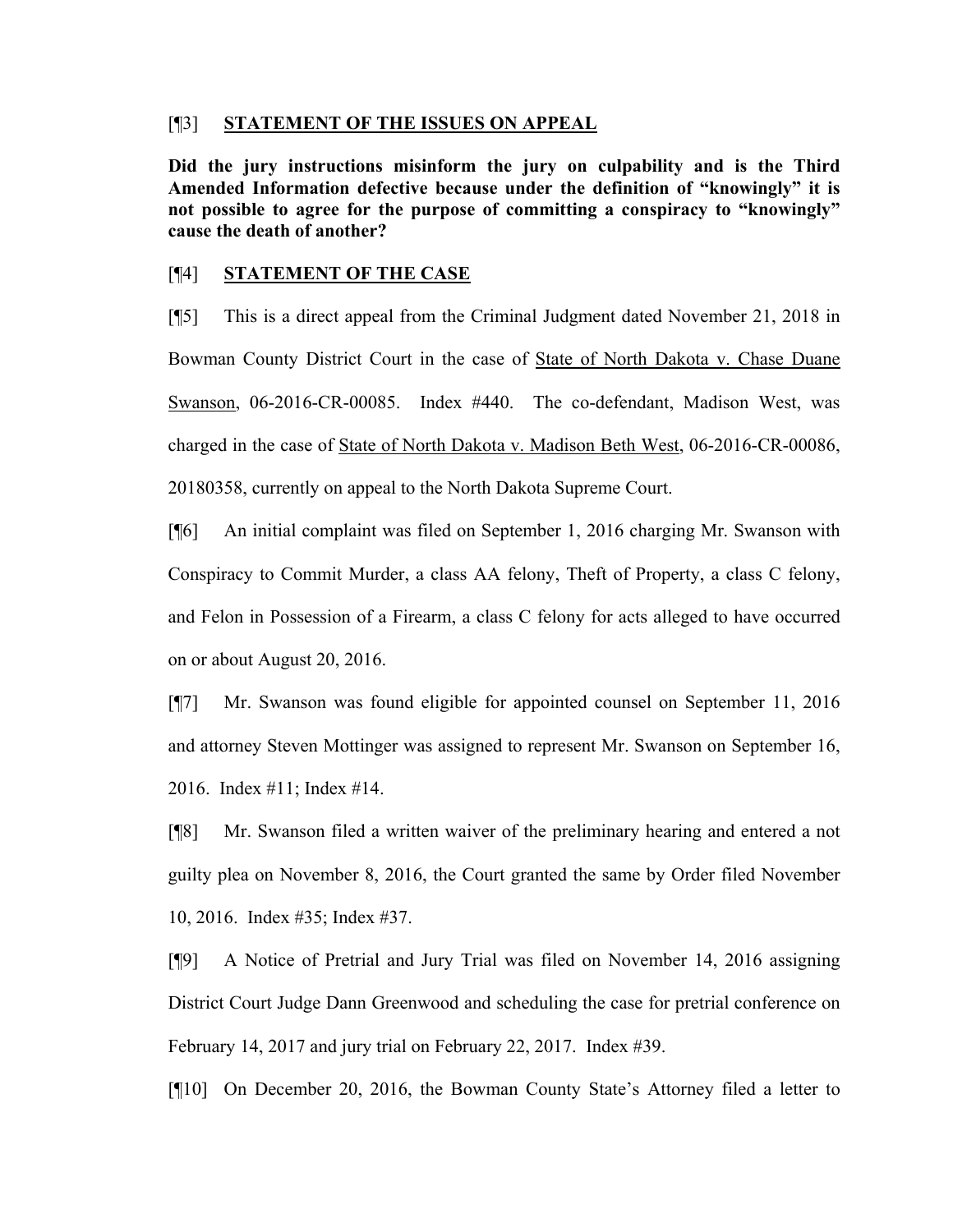#### [¶3] **STATEMENT OF THE ISSUES ON APPEAL**

**Did the jury instructions misinform the jury on culpability and is the Third Amended Information defective because under the definition of "knowingly" it is not possible to agree for the purpose of committing a conspiracy to "knowingly" cause the death of another?** 

## [¶4] **STATEMENT OF THE CASE**

[¶5] This is a direct appeal from the Criminal Judgment dated November 21, 2018 in Bowman County District Court in the case of State of North Dakota v. Chase Duane Swanson, 06-2016-CR-00085. Index #440. The co-defendant, Madison West, was charged in the case of State of North Dakota v. Madison Beth West, 06-2016-CR-00086, 20180358, currently on appeal to the North Dakota Supreme Court.

[¶6] An initial complaint was filed on September 1, 2016 charging Mr. Swanson with Conspiracy to Commit Murder, a class AA felony, Theft of Property, a class C felony, and Felon in Possession of a Firearm, a class C felony for acts alleged to have occurred on or about August 20, 2016.

[¶7] Mr. Swanson was found eligible for appointed counsel on September 11, 2016 and attorney Steven Mottinger was assigned to represent Mr. Swanson on September 16, 2016. Index #11; Index #14.

[¶8] Mr. Swanson filed a written waiver of the preliminary hearing and entered a not guilty plea on November 8, 2016, the Court granted the same by Order filed November 10, 2016. Index #35; Index #37.

[¶9] A Notice of Pretrial and Jury Trial was filed on November 14, 2016 assigning District Court Judge Dann Greenwood and scheduling the case for pretrial conference on February 14, 2017 and jury trial on February 22, 2017. Index #39.

[¶10] On December 20, 2016, the Bowman County State's Attorney filed a letter to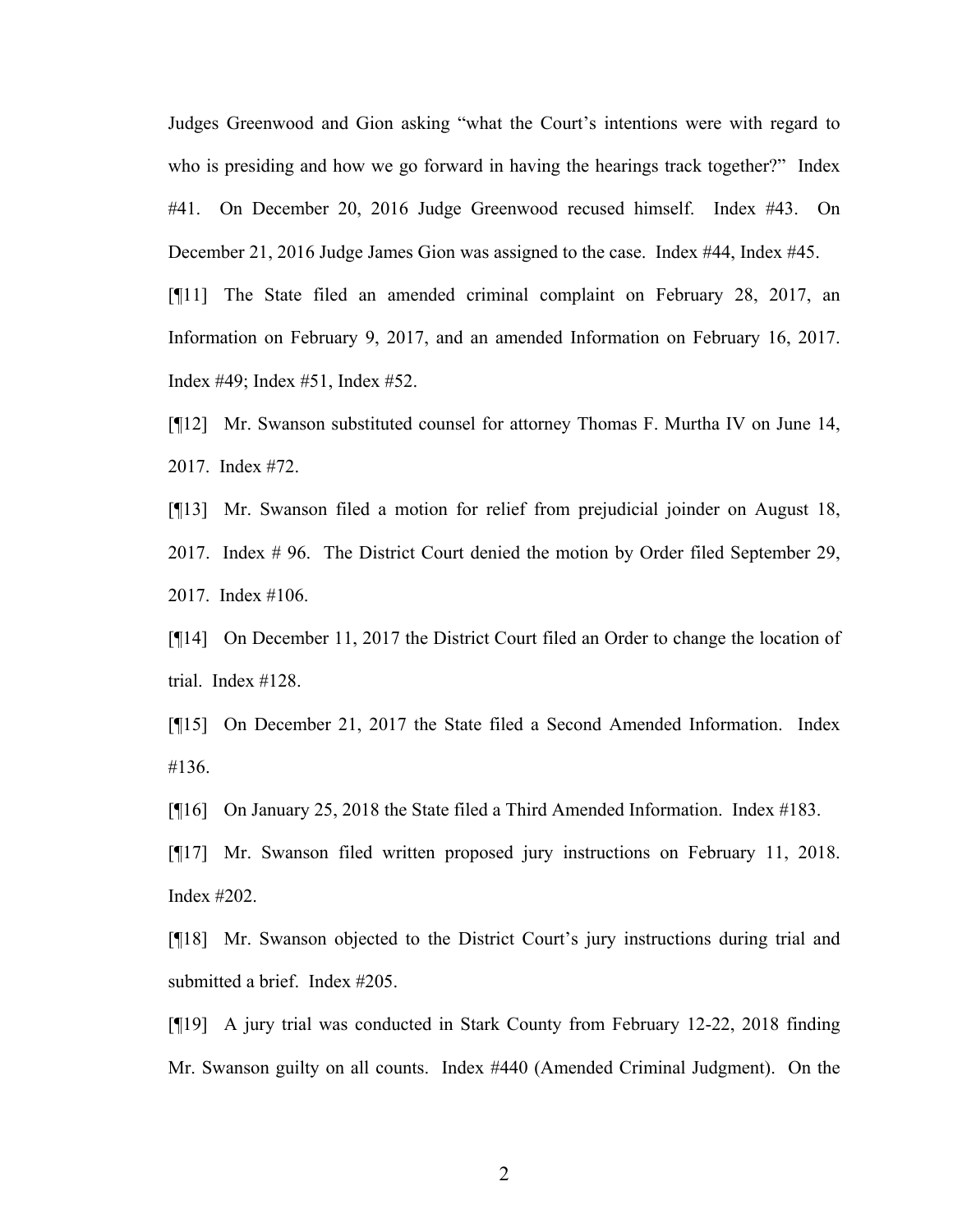Judges Greenwood and Gion asking "what the Court's intentions were with regard to who is presiding and how we go forward in having the hearings track together?" Index #41. On December 20, 2016 Judge Greenwood recused himself. Index #43. On December 21, 2016 Judge James Gion was assigned to the case. Index #44, Index #45.

[¶11] The State filed an amended criminal complaint on February 28, 2017, an Information on February 9, 2017, and an amended Information on February 16, 2017. Index #49; Index #51, Index #52.

[¶12] Mr. Swanson substituted counsel for attorney Thomas F. Murtha IV on June 14, 2017. Index #72.

[¶13] Mr. Swanson filed a motion for relief from prejudicial joinder on August 18, 2017. Index # 96. The District Court denied the motion by Order filed September 29, 2017. Index #106.

[¶14] On December 11, 2017 the District Court filed an Order to change the location of trial. Index #128.

[¶15] On December 21, 2017 the State filed a Second Amended Information. Index #136.

[¶16] On January 25, 2018 the State filed a Third Amended Information. Index #183.

[¶17] Mr. Swanson filed written proposed jury instructions on February 11, 2018. Index #202.

[¶18] Mr. Swanson objected to the District Court's jury instructions during trial and submitted a brief. Index #205.

[¶19] A jury trial was conducted in Stark County from February 12-22, 2018 finding Mr. Swanson guilty on all counts. Index #440 (Amended Criminal Judgment). On the

2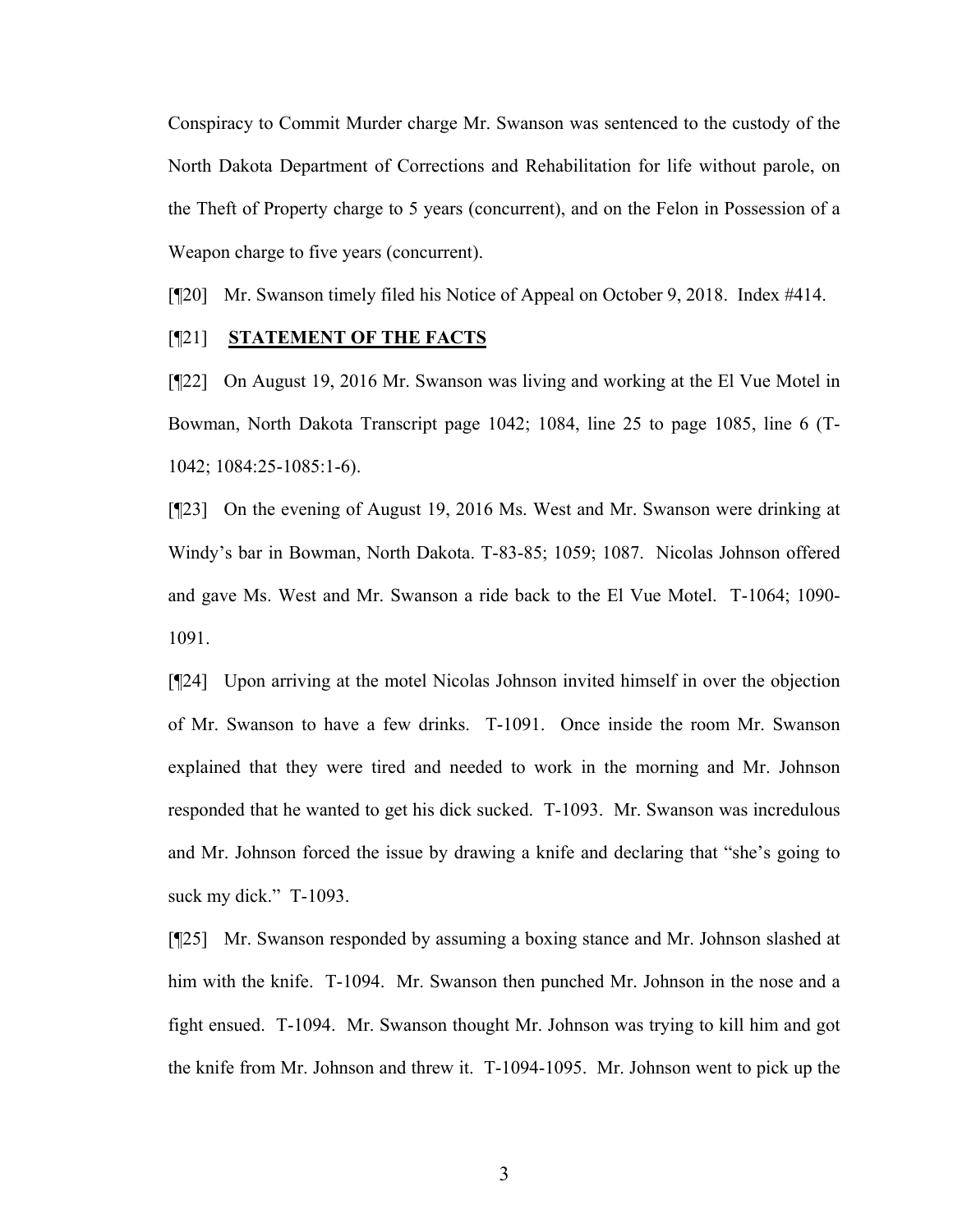Conspiracy to Commit Murder charge Mr. Swanson was sentenced to the custody of the North Dakota Department of Corrections and Rehabilitation for life without parole, on the Theft of Property charge to 5 years (concurrent), and on the Felon in Possession of a Weapon charge to five years (concurrent).

[¶20] Mr. Swanson timely filed his Notice of Appeal on October 9, 2018. Index #414.

#### [¶21] **STATEMENT OF THE FACTS**

[¶22] On August 19, 2016 Mr. Swanson was living and working at the El Vue Motel in Bowman, North Dakota Transcript page 1042; 1084, line 25 to page 1085, line 6 (T-1042; 1084:25-1085:1-6).

[¶23] On the evening of August 19, 2016 Ms. West and Mr. Swanson were drinking at Windy's bar in Bowman, North Dakota. T-83-85; 1059; 1087. Nicolas Johnson offered and gave Ms. West and Mr. Swanson a ride back to the El Vue Motel. T-1064; 1090- 1091.

[¶24] Upon arriving at the motel Nicolas Johnson invited himself in over the objection of Mr. Swanson to have a few drinks. T-1091. Once inside the room Mr. Swanson explained that they were tired and needed to work in the morning and Mr. Johnson responded that he wanted to get his dick sucked. T-1093. Mr. Swanson was incredulous and Mr. Johnson forced the issue by drawing a knife and declaring that "she's going to suck my dick." T-1093.

[¶25] Mr. Swanson responded by assuming a boxing stance and Mr. Johnson slashed at him with the knife. T-1094. Mr. Swanson then punched Mr. Johnson in the nose and a fight ensued. T-1094. Mr. Swanson thought Mr. Johnson was trying to kill him and got the knife from Mr. Johnson and threw it. T-1094-1095. Mr. Johnson went to pick up the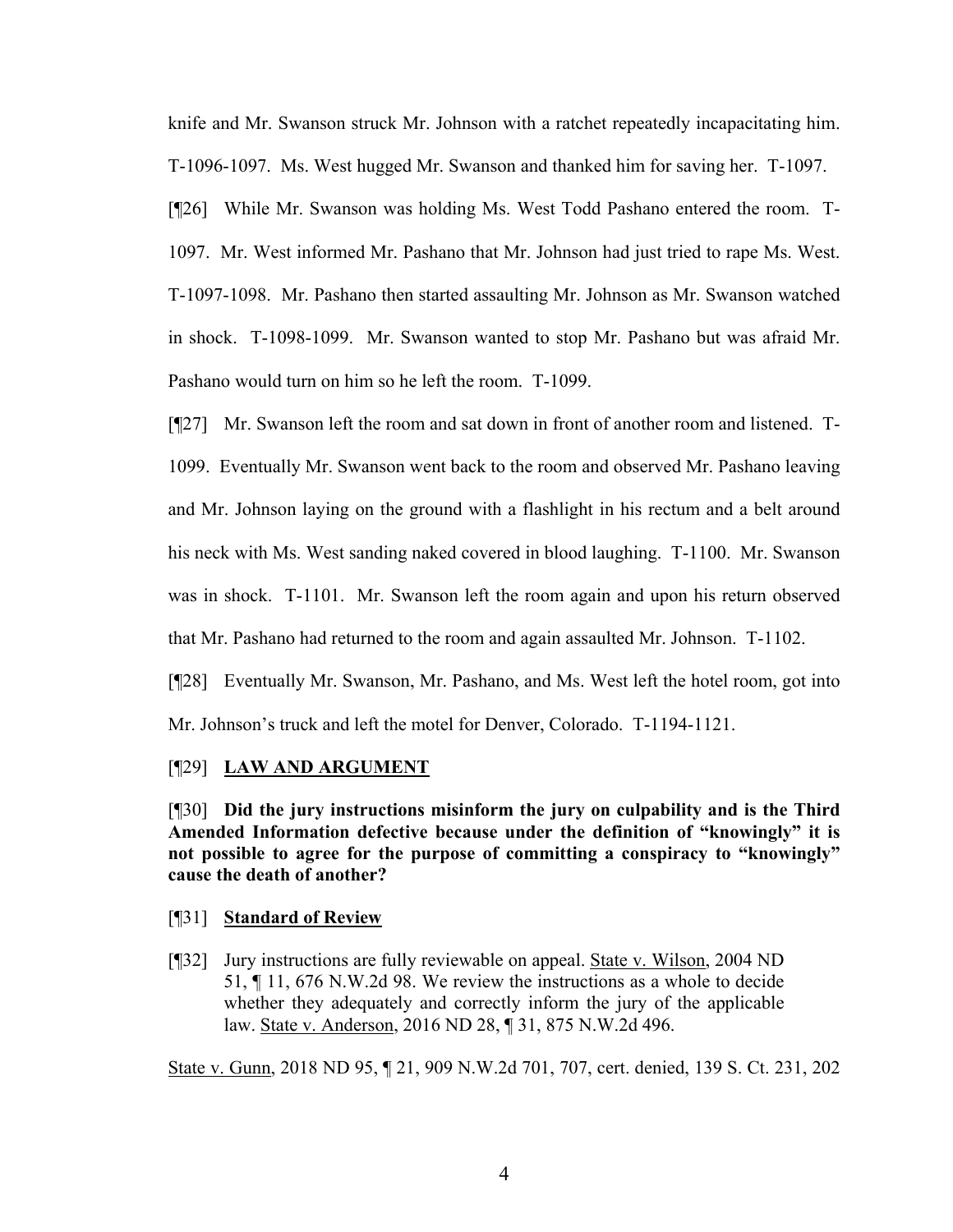knife and Mr. Swanson struck Mr. Johnson with a ratchet repeatedly incapacitating him. T-1096-1097. Ms. West hugged Mr. Swanson and thanked him for saving her. T-1097.

[¶26] While Mr. Swanson was holding Ms. West Todd Pashano entered the room. T-1097. Mr. West informed Mr. Pashano that Mr. Johnson had just tried to rape Ms. West. T-1097-1098. Mr. Pashano then started assaulting Mr. Johnson as Mr. Swanson watched in shock. T-1098-1099. Mr. Swanson wanted to stop Mr. Pashano but was afraid Mr. Pashano would turn on him so he left the room. T-1099.

[¶27] Mr. Swanson left the room and sat down in front of another room and listened. T-1099. Eventually Mr. Swanson went back to the room and observed Mr. Pashano leaving and Mr. Johnson laying on the ground with a flashlight in his rectum and a belt around his neck with Ms. West sanding naked covered in blood laughing. T-1100. Mr. Swanson was in shock. T-1101. Mr. Swanson left the room again and upon his return observed that Mr. Pashano had returned to the room and again assaulted Mr. Johnson. T-1102.

[¶28] Eventually Mr. Swanson, Mr. Pashano, and Ms. West left the hotel room, got into Mr. Johnson's truck and left the motel for Denver, Colorado. T-1194-1121.

## [¶29] **LAW AND ARGUMENT**

[¶30] **Did the jury instructions misinform the jury on culpability and is the Third Amended Information defective because under the definition of "knowingly" it is not possible to agree for the purpose of committing a conspiracy to "knowingly" cause the death of another?** 

#### [¶31] **Standard of Review**

[¶32] Jury instructions are fully reviewable on appeal. State v. Wilson, 2004 ND 51, ¶ 11, 676 N.W.2d 98. We review the instructions as a whole to decide whether they adequately and correctly inform the jury of the applicable law. State v. Anderson, 2016 ND 28, ¶ 31, 875 N.W.2d 496.

State v. Gunn, 2018 ND 95, ¶ 21, 909 N.W.2d 701, 707, cert. denied, 139 S. Ct. 231, 202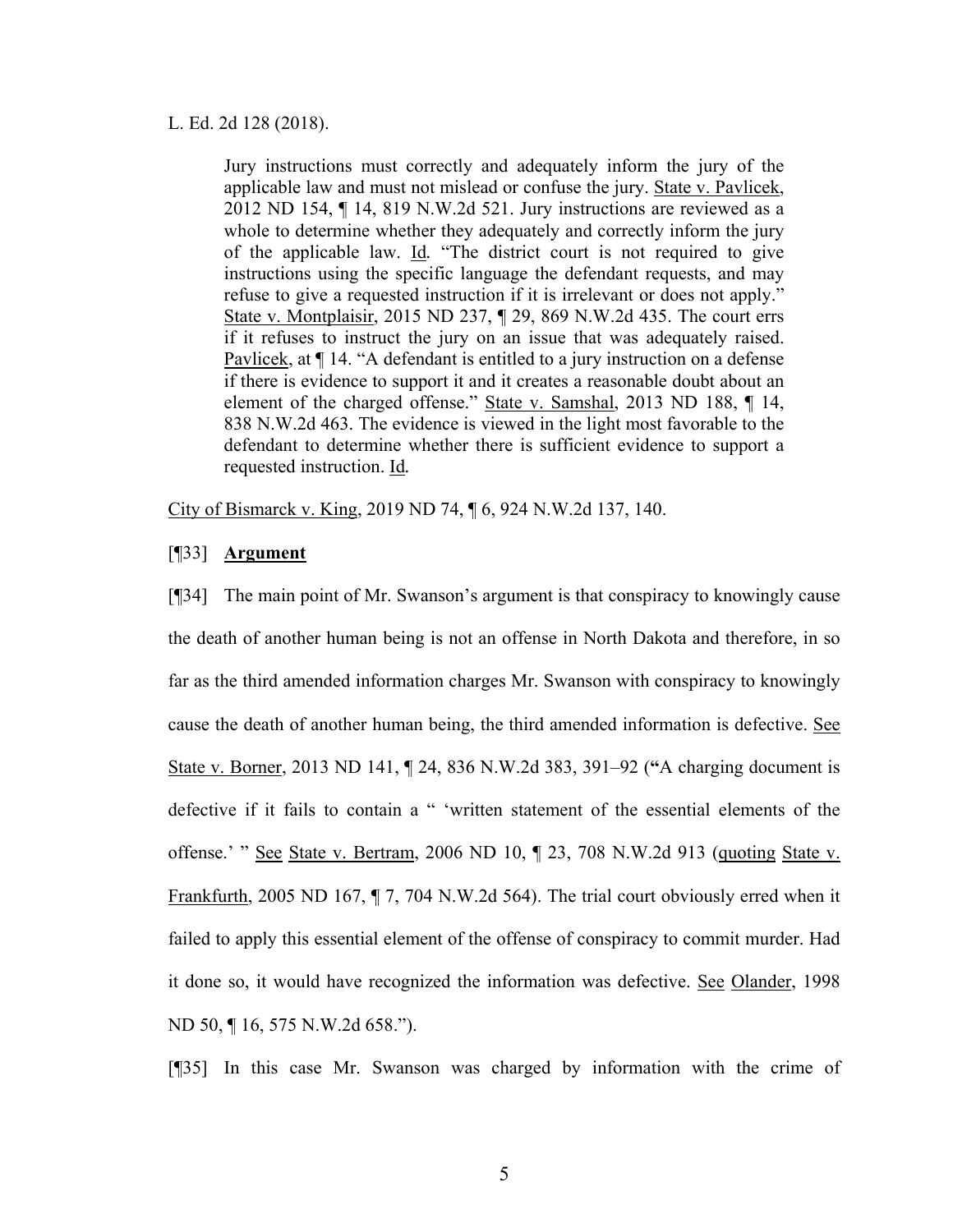#### L. Ed. 2d 128 (2018).

Jury instructions must correctly and adequately inform the jury of the applicable law and must not mislead or confuse the jury. State v. Pavlicek, 2012 ND 154, ¶ 14, 819 N.W.2d 521. Jury instructions are reviewed as a whole to determine whether they adequately and correctly inform the jury of the applicable law. Id*.* "The district court is not required to give instructions using the specific language the defendant requests, and may refuse to give a requested instruction if it is irrelevant or does not apply." State v. Montplaisir, 2015 ND 237, ¶ 29, 869 N.W.2d 435. The court errs if it refuses to instruct the jury on an issue that was adequately raised. Pavlicek, at ¶ 14. "A defendant is entitled to a jury instruction on a defense if there is evidence to support it and it creates a reasonable doubt about an element of the charged offense." State v. Samshal, 2013 ND 188, ¶ 14, 838 N.W.2d 463. The evidence is viewed in the light most favorable to the defendant to determine whether there is sufficient evidence to support a requested instruction. Id*.* 

City of Bismarck v. King, 2019 ND 74, ¶ 6, 924 N.W.2d 137, 140.

#### [¶33] **Argument**

[¶34] The main point of Mr. Swanson's argument is that conspiracy to knowingly cause the death of another human being is not an offense in North Dakota and therefore, in so far as the third amended information charges Mr. Swanson with conspiracy to knowingly cause the death of another human being, the third amended information is defective. See State v. Borner, 2013 ND 141, ¶ 24, 836 N.W.2d 383, 391–92 (**"**A charging document is defective if it fails to contain a " 'written statement of the essential elements of the offense.' " See State v. Bertram, 2006 ND 10, ¶ 23, 708 N.W.2d 913 (quoting State v. Frankfurth, 2005 ND 167, ¶ 7, 704 N.W.2d 564). The trial court obviously erred when it failed to apply this essential element of the offense of conspiracy to commit murder. Had it done so, it would have recognized the information was defective. See Olander, 1998 ND 50, ¶ 16, 575 N.W.2d 658.").

[¶35] In this case Mr. Swanson was charged by information with the crime of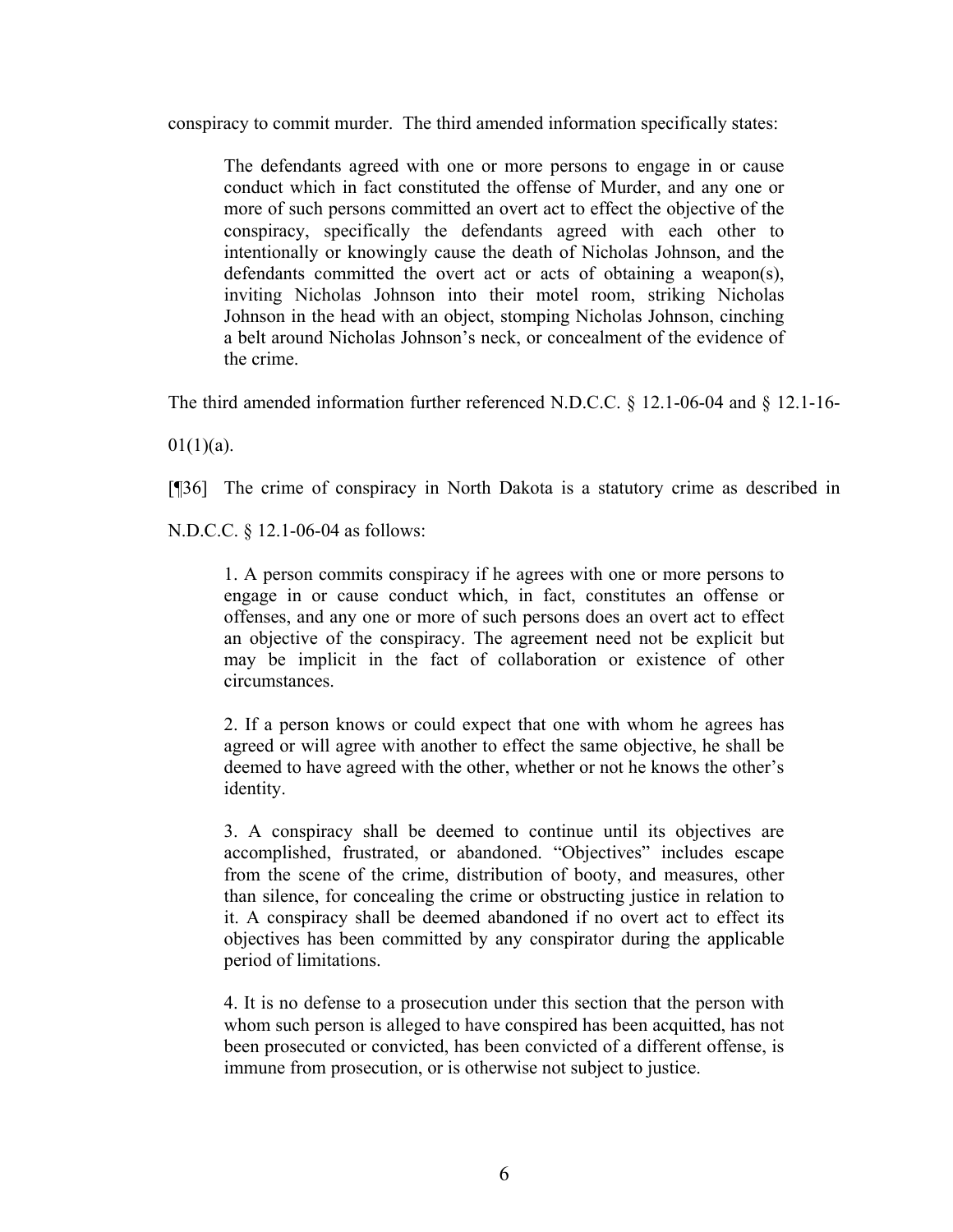conspiracy to commit murder. The third amended information specifically states:

The defendants agreed with one or more persons to engage in or cause conduct which in fact constituted the offense of Murder, and any one or more of such persons committed an overt act to effect the objective of the conspiracy, specifically the defendants agreed with each other to intentionally or knowingly cause the death of Nicholas Johnson, and the defendants committed the overt act or acts of obtaining a weapon(s), inviting Nicholas Johnson into their motel room, striking Nicholas Johnson in the head with an object, stomping Nicholas Johnson, cinching a belt around Nicholas Johnson's neck, or concealment of the evidence of the crime.

The third amended information further referenced N.D.C.C. § 12.1-06-04 and § 12.1-16-

 $01(1)(a)$ .

[¶36] The crime of conspiracy in North Dakota is a statutory crime as described in

N.D.C.C. § 12.1-06-04 as follows:

1. A person commits conspiracy if he agrees with one or more persons to engage in or cause conduct which, in fact, constitutes an offense or offenses, and any one or more of such persons does an overt act to effect an objective of the conspiracy. The agreement need not be explicit but may be implicit in the fact of collaboration or existence of other circumstances.

2. If a person knows or could expect that one with whom he agrees has agreed or will agree with another to effect the same objective, he shall be deemed to have agreed with the other, whether or not he knows the other's identity.

3. A conspiracy shall be deemed to continue until its objectives are accomplished, frustrated, or abandoned. "Objectives" includes escape from the scene of the crime, distribution of booty, and measures, other than silence, for concealing the crime or obstructing justice in relation to it. A conspiracy shall be deemed abandoned if no overt act to effect its objectives has been committed by any conspirator during the applicable period of limitations.

4. It is no defense to a prosecution under this section that the person with whom such person is alleged to have conspired has been acquitted, has not been prosecuted or convicted, has been convicted of a different offense, is immune from prosecution, or is otherwise not subject to justice.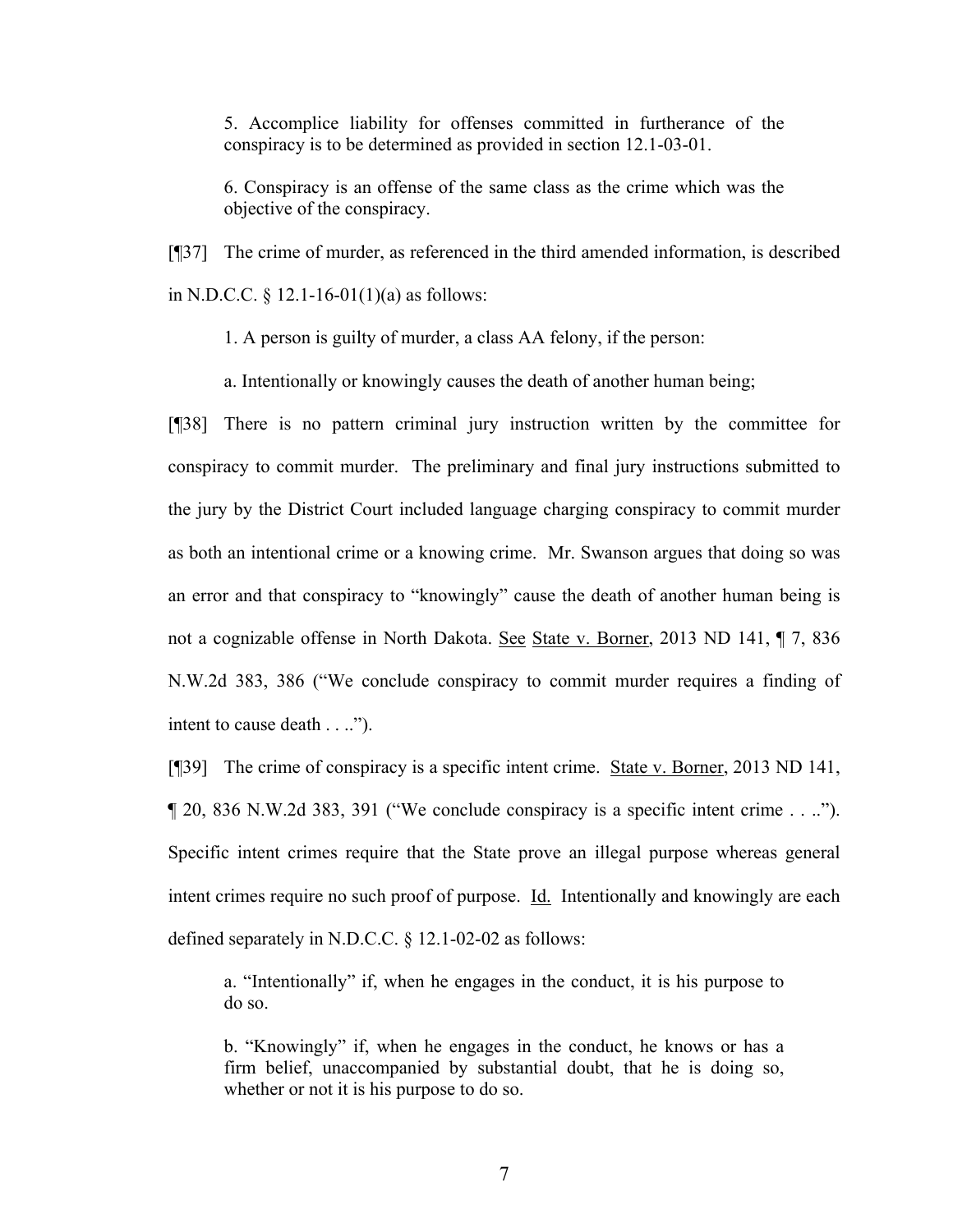5. Accomplice liability for offenses committed in furtherance of the conspiracy is to be determined as provided in section 12.1-03-01.

6. Conspiracy is an offense of the same class as the crime which was the objective of the conspiracy.

[¶37] The crime of murder, as referenced in the third amended information, is described in N.D.C.C.  $\S$  12.1-16-01(1)(a) as follows:

1. A person is guilty of murder, a class AA felony, if the person:

a. Intentionally or knowingly causes the death of another human being;

[¶38] There is no pattern criminal jury instruction written by the committee for conspiracy to commit murder. The preliminary and final jury instructions submitted to the jury by the District Court included language charging conspiracy to commit murder as both an intentional crime or a knowing crime. Mr. Swanson argues that doing so was an error and that conspiracy to "knowingly" cause the death of another human being is not a cognizable offense in North Dakota. See State v. Borner, 2013 ND 141, ¶ 7, 836 N.W.2d 383, 386 ("We conclude conspiracy to commit murder requires a finding of intent to cause death . . ..").

[¶39] The crime of conspiracy is a specific intent crime. State v. Borner, 2013 ND 141, ¶ 20, 836 N.W.2d 383, 391 ("We conclude conspiracy is a specific intent crime . . .."). Specific intent crimes require that the State prove an illegal purpose whereas general intent crimes require no such proof of purpose. Id. Intentionally and knowingly are each defined separately in N.D.C.C. § 12.1-02-02 as follows:

a. "Intentionally" if, when he engages in the conduct, it is his purpose to do so.

b. "Knowingly" if, when he engages in the conduct, he knows or has a firm belief, unaccompanied by substantial doubt, that he is doing so, whether or not it is his purpose to do so.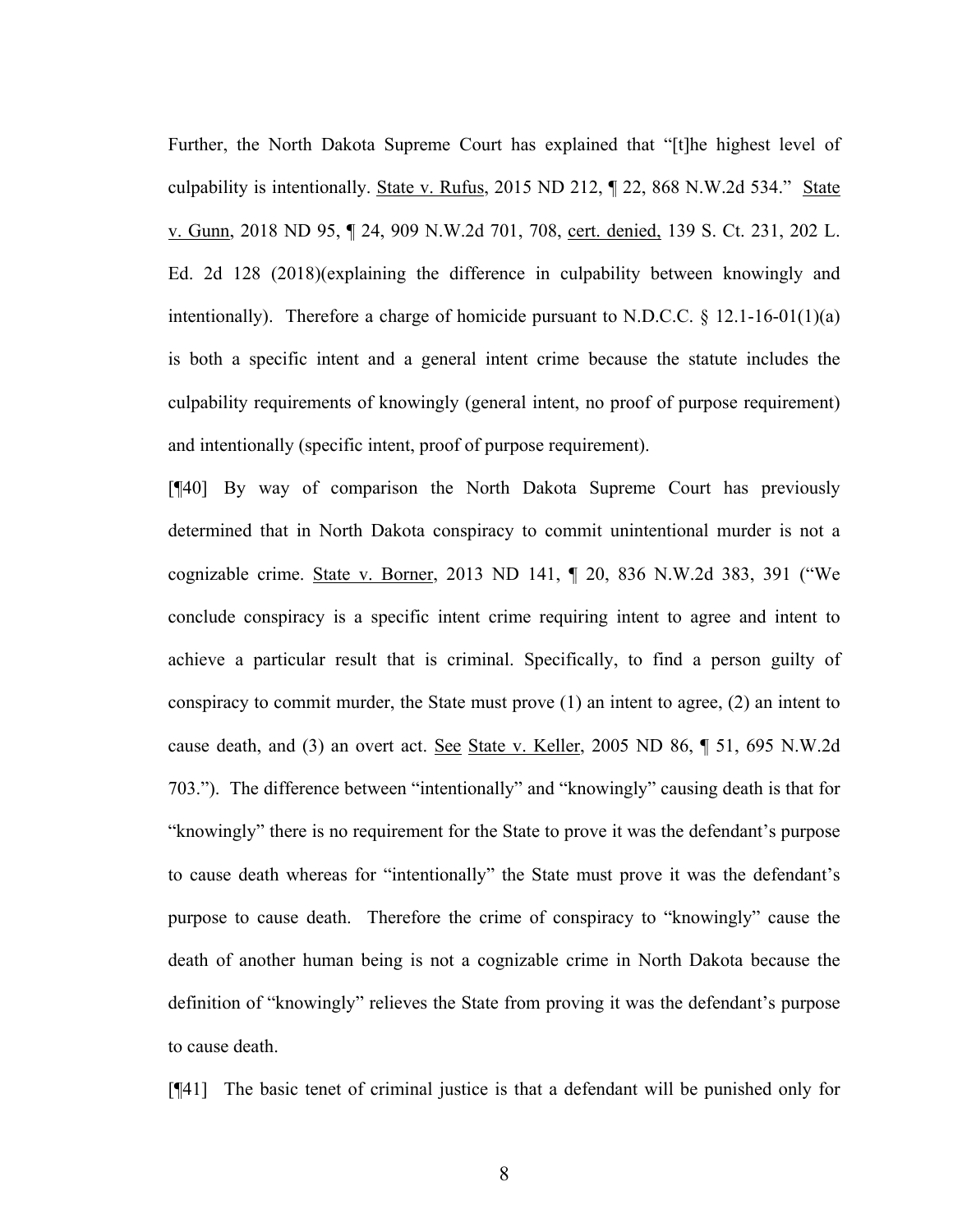Further, the North Dakota Supreme Court has explained that "[t]he highest level of culpability is intentionally. State v. Rufus, 2015 ND 212,  $\P$  22, 868 N.W.2d 534." State v. Gunn, 2018 ND 95, ¶ 24, 909 N.W.2d 701, 708, cert. denied, 139 S. Ct. 231, 202 L. Ed. 2d 128 (2018)(explaining the difference in culpability between knowingly and intentionally). Therefore a charge of homicide pursuant to N.D.C.C.  $\S$  12.1-16-01(1)(a) is both a specific intent and a general intent crime because the statute includes the culpability requirements of knowingly (general intent, no proof of purpose requirement) and intentionally (specific intent, proof of purpose requirement).

[¶40] By way of comparison the North Dakota Supreme Court has previously determined that in North Dakota conspiracy to commit unintentional murder is not a cognizable crime. State v. Borner, 2013 ND 141, ¶ 20, 836 N.W.2d 383, 391 ("We conclude conspiracy is a specific intent crime requiring intent to agree and intent to achieve a particular result that is criminal. Specifically, to find a person guilty of conspiracy to commit murder, the State must prove (1) an intent to agree, (2) an intent to cause death, and (3) an overt act. See State v. Keller, 2005 ND 86, ¶ 51, 695 N.W.2d 703."). The difference between "intentionally" and "knowingly" causing death is that for "knowingly" there is no requirement for the State to prove it was the defendant's purpose to cause death whereas for "intentionally" the State must prove it was the defendant's purpose to cause death. Therefore the crime of conspiracy to "knowingly" cause the death of another human being is not a cognizable crime in North Dakota because the definition of "knowingly" relieves the State from proving it was the defendant's purpose to cause death.

[¶41] The basic tenet of criminal justice is that a defendant will be punished only for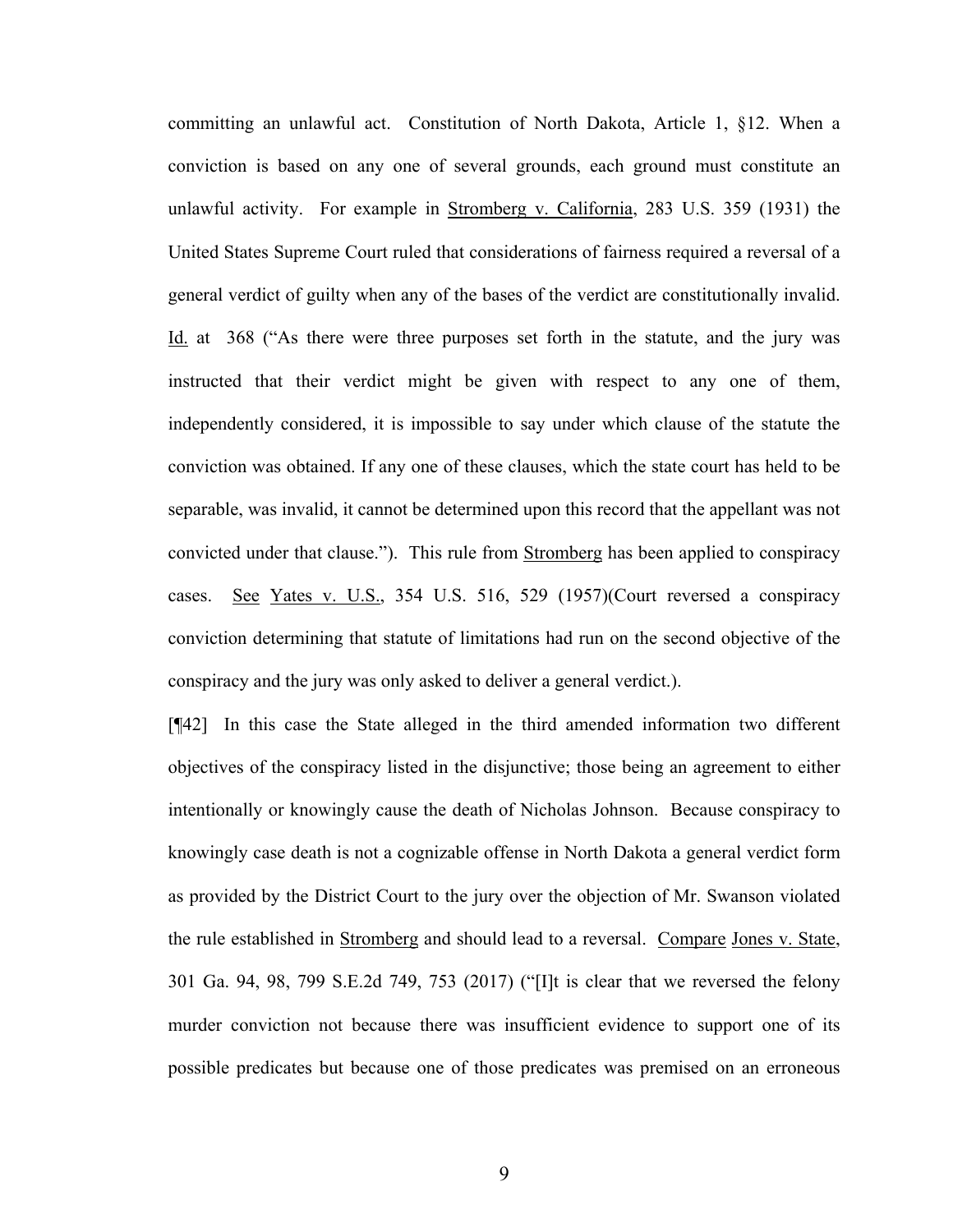committing an unlawful act. Constitution of North Dakota, Article 1, §12. When a conviction is based on any one of several grounds, each ground must constitute an unlawful activity. For example in Stromberg v. California, 283 U.S. 359 (1931) the United States Supreme Court ruled that considerations of fairness required a reversal of a general verdict of guilty when any of the bases of the verdict are constitutionally invalid. Id. at 368 ("As there were three purposes set forth in the statute, and the jury was instructed that their verdict might be given with respect to any one of them, independently considered, it is impossible to say under which clause of the statute the conviction was obtained. If any one of these clauses, which the state court has held to be separable, was invalid, it cannot be determined upon this record that the appellant was not convicted under that clause."). This rule from Stromberg has been applied to conspiracy cases. See Yates v. U.S., 354 U.S. 516, 529 (1957)(Court reversed a conspiracy conviction determining that statute of limitations had run on the second objective of the conspiracy and the jury was only asked to deliver a general verdict.).

[¶42] In this case the State alleged in the third amended information two different objectives of the conspiracy listed in the disjunctive; those being an agreement to either intentionally or knowingly cause the death of Nicholas Johnson. Because conspiracy to knowingly case death is not a cognizable offense in North Dakota a general verdict form as provided by the District Court to the jury over the objection of Mr. Swanson violated the rule established in Stromberg and should lead to a reversal. Compare Jones v. State, 301 Ga. 94, 98, 799 S.E.2d 749, 753 (2017) ("[I]t is clear that we reversed the felony murder conviction not because there was insufficient evidence to support one of its possible predicates but because one of those predicates was premised on an erroneous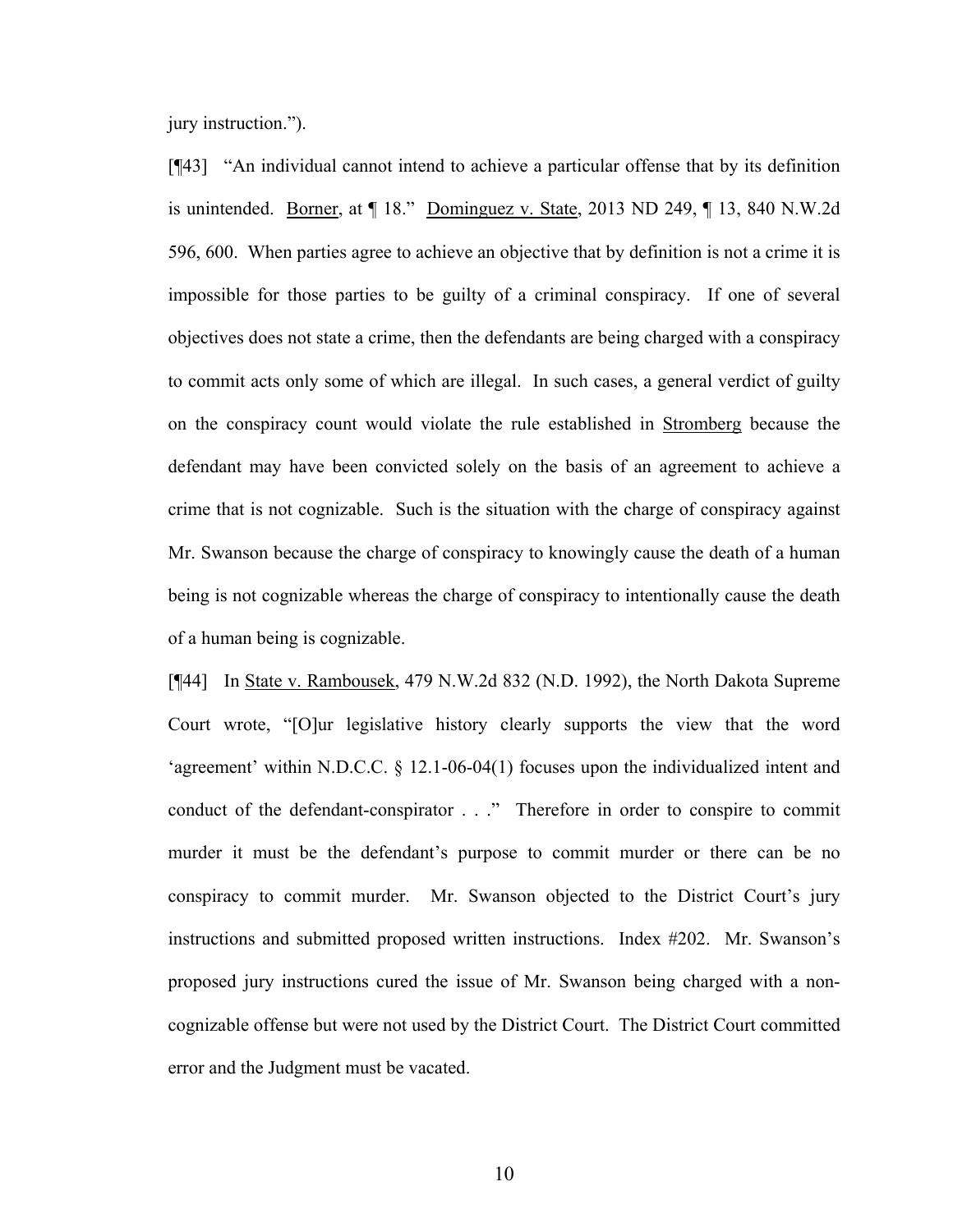jury instruction.").

[¶43] "An individual cannot intend to achieve a particular offense that by its definition is unintended. Borner, at ¶ 18." Dominguez v. State, 2013 ND 249, ¶ 13, 840 N.W.2d 596, 600. When parties agree to achieve an objective that by definition is not a crime it is impossible for those parties to be guilty of a criminal conspiracy. If one of several objectives does not state a crime, then the defendants are being charged with a conspiracy to commit acts only some of which are illegal. In such cases, a general verdict of guilty on the conspiracy count would violate the rule established in Stromberg because the defendant may have been convicted solely on the basis of an agreement to achieve a crime that is not cognizable. Such is the situation with the charge of conspiracy against Mr. Swanson because the charge of conspiracy to knowingly cause the death of a human being is not cognizable whereas the charge of conspiracy to intentionally cause the death of a human being is cognizable.

[¶44] In State v. Rambousek, 479 N.W.2d 832 (N.D. 1992), the North Dakota Supreme Court wrote, "[O]ur legislative history clearly supports the view that the word 'agreement' within N.D.C.C. § 12.1-06-04(1) focuses upon the individualized intent and conduct of the defendant-conspirator . . ." Therefore in order to conspire to commit murder it must be the defendant's purpose to commit murder or there can be no conspiracy to commit murder. Mr. Swanson objected to the District Court's jury instructions and submitted proposed written instructions. Index #202. Mr. Swanson's proposed jury instructions cured the issue of Mr. Swanson being charged with a noncognizable offense but were not used by the District Court. The District Court committed error and the Judgment must be vacated.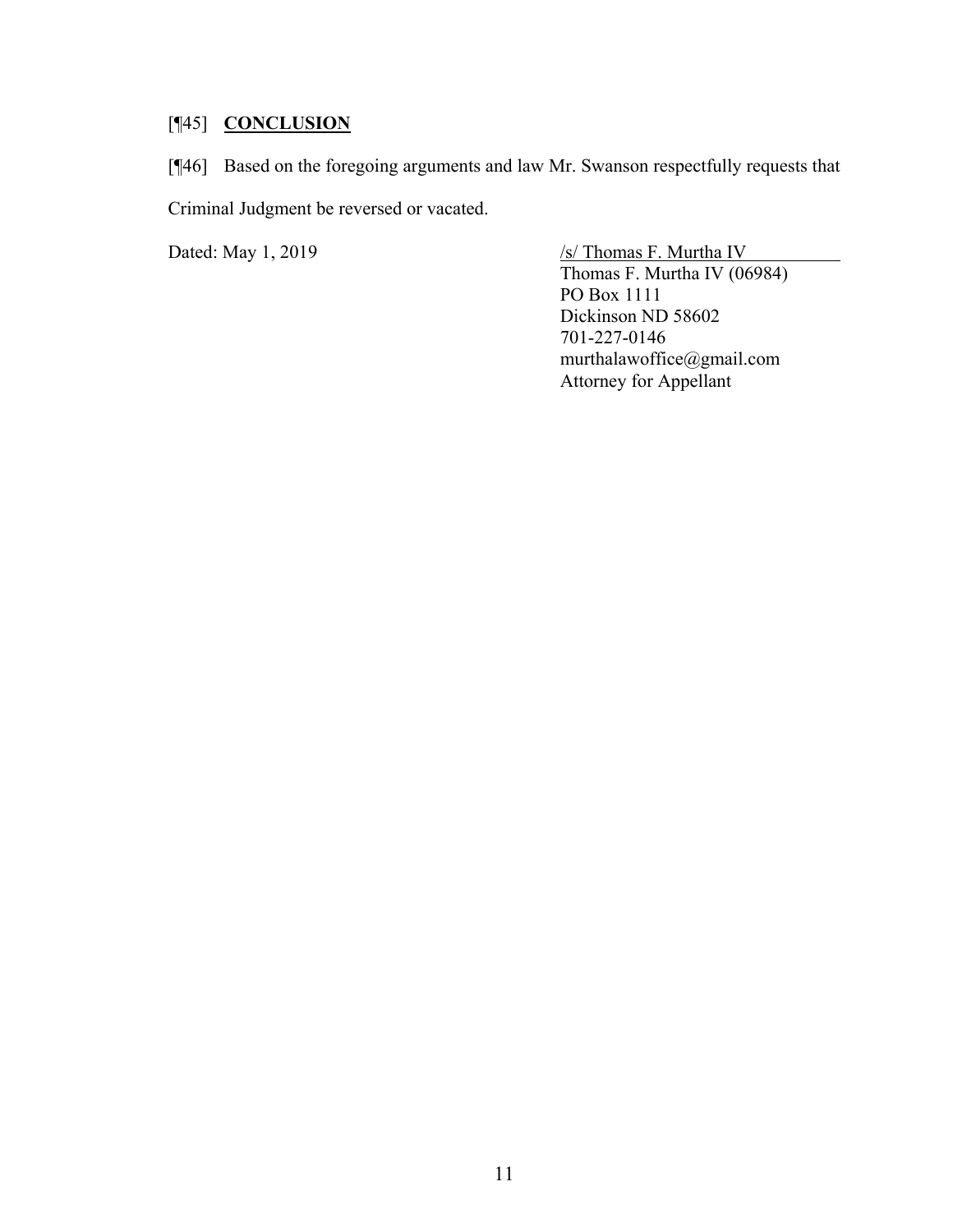## [¶45] **CONCLUSION**

[¶46] Based on the foregoing arguments and law Mr. Swanson respectfully requests that Criminal Judgment be reversed or vacated.

Dated: May 1, 2019 /s/ Thomas F. Murtha IV Thomas F. Murtha IV (06984) PO Box 1111 Dickinson ND 58602 701-227-0146 murthalawoffice@gmail.com Attorney for Appellant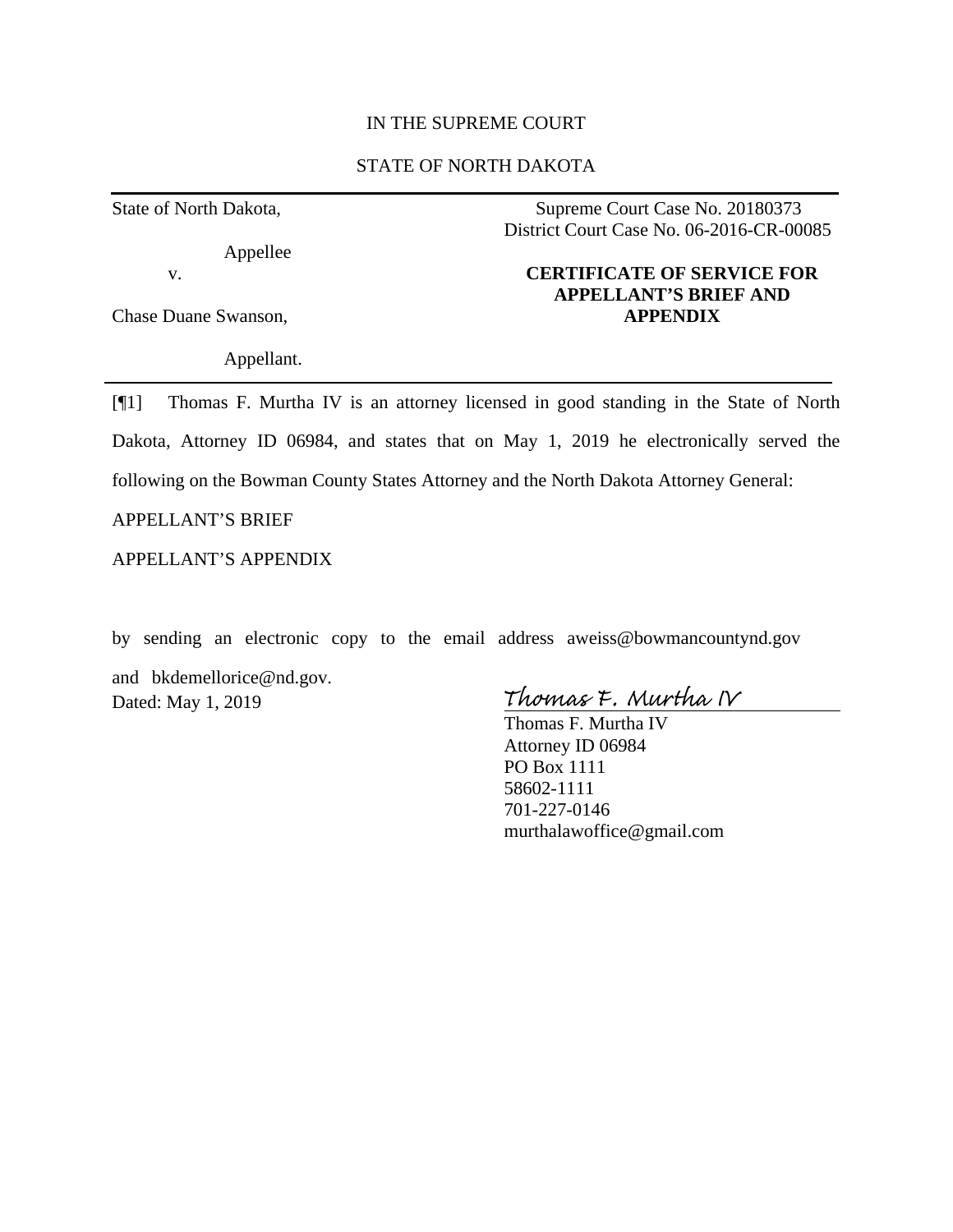#### IN THE SUPREME COURT

## STATE OF NORTH DAKOTA

State of North Dakota,

Appellee

v.

Chase Duane Swanson,

Appellant.

Supreme Court Case No. 20180373 District Court Case No. 06-2016-CR-00085

## **CERTIFICATE OF SERVICE FOR APPELLANT'S BRIEF AND APPENDIX**

[¶1] Thomas F. Murtha IV is an attorney licensed in good standing in the State of North Dakota, Attorney ID 06984, and states that on May 1, 2019 he electronically served the following on the Bowman County States Attorney and the North Dakota Attorney General:

APPELLANT'S BRIEF

APPELLANT'S APPENDIX

by sending an electronic copy to the email address aweiss@bowmancountynd.gov

and bkdemellorice@nd.gov. Dated: May 1, 2019

Thomas F. Murtha IV

Thomas F. Murtha IV Attorney ID 06984 PO Box 1111 58602-1111 701-227-0146 murthalawoffice@gmail.com